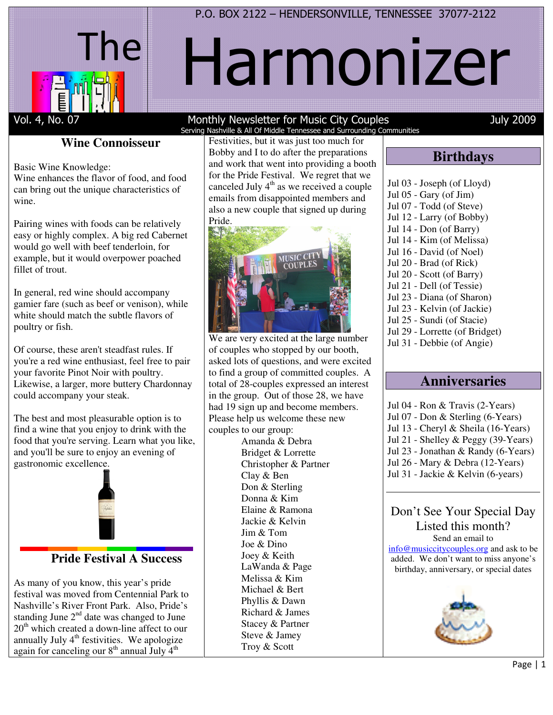



# Harmonizer

#### Vol. 4, No. 07 Monthly Newsletter for Music City Couples July 2009 Serving Nashville & All Of Middle Tennessee and Surrounding Communities

# **Wine Connoisseur**

Basic Wine Knowledge:

Wine enhances the flavor of food, and food can bring out the unique characteristics of wine.

Pairing wines with foods can be relatively easy or highly complex. A big red Cabernet would go well with beef tenderloin, for example, but it would overpower poached fillet of trout.

In general, red wine should accompany gamier fare (such as beef or venison), while white should match the subtle flavors of poultry or fish.

Of course, these aren't steadfast rules. If you're a red wine enthusiast, feel free to pair your favorite Pinot Noir with poultry. Likewise, a larger, more buttery Chardonnay could accompany your steak.

The best and most pleasurable option is to find a wine that you enjoy to drink with the food that you're serving. Learn what you like, and you'll be sure to enjoy an evening of gastronomic excellence.



# **Pride Festival A Success**

As many of you know, this year's pride festival was moved from Centennial Park to Nashville's River Front Park. Also, Pride's standing June  $2<sup>nd</sup>$  date was changed to June  $20<sup>th</sup>$  which created a down-line affect to our annually July  $4<sup>th</sup>$  festivities. We apologize again for canceling our  $8<sup>th</sup>$  annual July  $4<sup>th</sup>$ 

Festivities, but it was just too much for Bobby and I to do after the preparations and work that went into providing a booth for the Pride Festival. We regret that we canceled July  $4<sup>th</sup>$  as we received a couple emails from disappointed members and also a new couple that signed up during Pride.



We are very excited at the large number of couples who stopped by our booth, asked lots of questions, and were excited to find a group of committed couples. A total of 28-couples expressed an interest in the group. Out of those 28, we have had 19 sign up and become members. Please help us welcome these new couples to our group:

Amanda & Debra Bridget & Lorrette Christopher & Partner Clay & Ben Don & Sterling Donna & Kim Elaine & Ramona Jackie & Kelvin Jim & Tom Joe & Dino Joey & Keith LaWanda & Page Melissa & Kim Michael & Bert Phyllis & Dawn Richard & James Stacey & Partner Steve & Jamey Troy & Scott

# **Birthdays**

Jul 03 - Joseph (of Lloyd) Jul 05 - Gary (of Jim) Jul 07 - Todd (of Steve) Jul 12 - Larry (of Bobby) Jul 14 - Don (of Barry) Jul 14 - Kim (of Melissa) Jul 16 - David (of Noel) Jul 20 - Brad (of Rick) Jul 20 - Scott (of Barry) Jul 21 - Dell (of Tessie) Jul 23 - Diana (of Sharon) Jul 23 - Kelvin (of Jackie) Jul 25 - Sundi (of Stacie) Jul 29 - Lorrette (of Bridget) Jul 31 - Debbie (of Angie)

# **Anniversaries**

Jul 04 - Ron & Travis (2-Years) Jul 07 - Don & Sterling (6-Years) Jul 13 - Cheryl & Sheila (16-Years) Jul 21 - Shelley & Peggy (39-Years) Jul 23 - Jonathan & Randy (6-Years)

- Jul 26 Mary & Debra (12-Years)
- Jul 31 Jackie & Kelvin (6-years)

# Don't See Your Special Day Listed this month?

Send an email to

info@musiccitycouples.org and ask to be added. We don't want to miss anyone's birthday, anniversary, or special dates

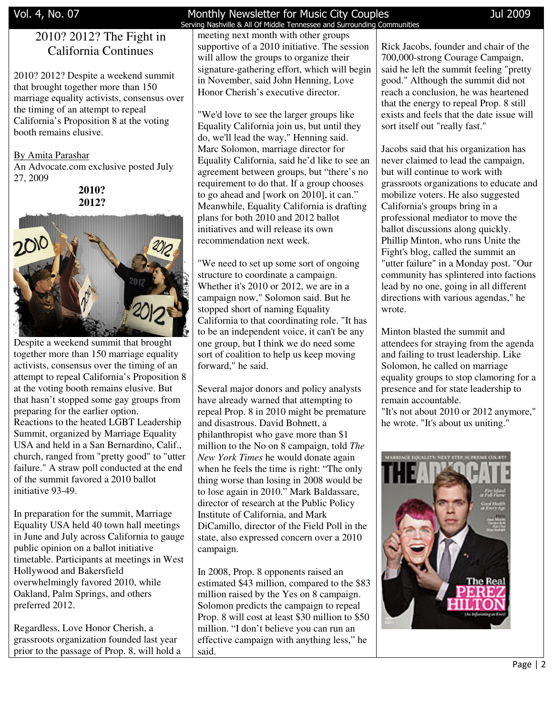# 2010? 2012? The Fight in California Continues

2010? 2012? Despite a weekend summit that brought together more than 150 marriage equality activists, consensus over the timing of an attempt to repeal California's Proposition 8 at the voting booth remains elusive.

By Amita Parashar

An Advocate.com exclusive posted July 27, 2009

> **2010? 2012?**



Despite a weekend summit that brought together more than 150 marriage equality activists, consensus over the timing of an attempt to repeal California's Proposition 8 at the voting booth remains elusive. But that hasn't stopped some gay groups from preparing for the earlier option. Reactions to the heated LGBT Leadership Summit, organized by Marriage Equality USA and held in a San Bernardino, Calif., church, ranged from "pretty good" to "utter failure." A straw poll conducted at the end of the summit favored a 2010 ballot initiative 93-49.

In preparation for the summit, Marriage Equality USA held 40 town hall meetings in June and July across California to gauge public opinion on a ballot initiative timetable. Participants at meetings in West Hollywood and Bakersfield overwhelmingly favored 2010, while Oakland, Palm Springs, and others preferred 2012.

Regardless, Love Honor Cherish, a grassroots organization founded last year prior to the passage of Prop. 8, will hold a

# Vol. 4, No. 07 Monthly Newsletter for Music City Couples Jul 2009

 Serving Nashville & All Of Middle Tennessee and Surrounding Communities meeting next month with other groups supportive of a 2010 initiative. The session will allow the groups to organize their signature-gathering effort, which will begin in November, said John Henning, Love Honor Cherish's executive director.

"We'd love to see the larger groups like Equality California join us, but until they do, we'll lead the way," Henning said. Marc Solomon, marriage director for Equality California, said he'd like to see an agreement between groups, but "there's no requirement to do that. If a group chooses to go ahead and [work on 2010], it can." Meanwhile, Equality California is drafting plans for both 2010 and 2012 ballot initiatives and will release its own recommendation next week.

"We need to set up some sort of ongoing structure to coordinate a campaign. Whether it's 2010 or 2012, we are in a campaign now," Solomon said. But he stopped short of naming Equality California to that coordinating role. "It has to be an independent voice, it can't be any one group, but I think we do need some sort of coalition to help us keep moving forward," he said.

Several major donors and policy analysts have already warned that attempting to repeal Prop. 8 in 2010 might be premature and disastrous. David Bohnett, a philanthropist who gave more than \$1 million to the No on 8 campaign, told *The New York Times* he would donate again when he feels the time is right: "The only thing worse than losing in 2008 would be to lose again in 2010." Mark Baldassare, director of research at the Public Policy Institute of California, and Mark DiCamillo, director of the Field Poll in the state, also expressed concern over a 2010 campaign.

In 2008, Prop. 8 opponents raised an estimated \$43 million, compared to the \$83 million raised by the Yes on 8 campaign. Solomon predicts the campaign to repeal Prop. 8 will cost at least \$30 million to \$50 million. "I don't believe you can run an effective campaign with anything less," he said.

Rick Jacobs, founder and chair of the 700,000-strong Courage Campaign, said he left the summit feeling "pretty good." Although the summit did not reach a conclusion, he was heartened that the energy to repeal Prop. 8 still exists and feels that the date issue will sort itself out "really fast."

Jacobs said that his organization has never claimed to lead the campaign, but will continue to work with grassroots organizations to educate and mobilize voters. He also suggested California's groups bring in a professional mediator to move the ballot discussions along quickly. Phillip Minton, who runs Unite the Fight's blog, called the summit an "utter failure" in a Monday post. "Our community has splintered into factions lead by no one, going in all different directions with various agendas," he wrote.

Minton blasted the summit and attendees for straying from the agenda and failing to trust leadership. Like Solomon, he called on marriage equality groups to stop clamoring for a presence and for state leadership to remain accountable. "It's not about 2010 or 2012 anymore," he wrote. "It's about us uniting."